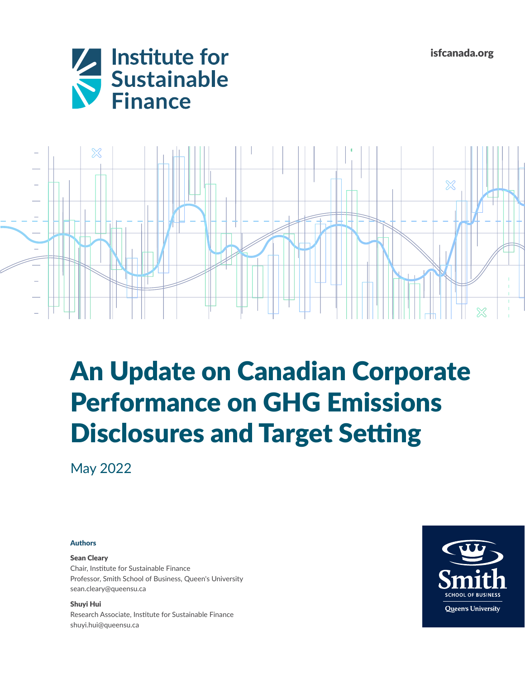isfcanada.org





## An Update on Canadian Corporate Performance on GHG Emissions Disclosures and Target Setting

May 2022

## Authors

## Sean Cleary

Chair, Institute for Sustainable Finance Professor, Smith School of Business, Queen's University [sean.cleary@queensu.ca](mailto:sean.cleary%40queensu.ca?subject=)

Shuyi Hui Research Associate, Institute for Sustainable Finance shuyi.hui@queensu.ca

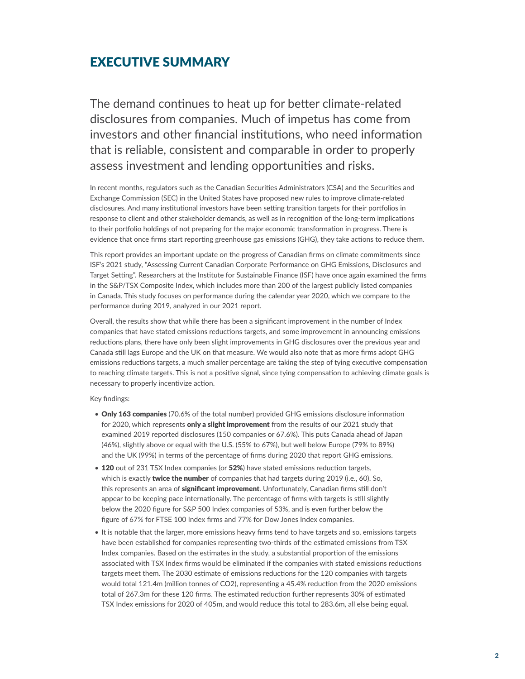## EXECUTIVE SUMMARY

The demand continues to heat up for better climate-related disclosures from companies. Much of impetus has come from investors and other financial institutions, who need information that is reliable, consistent and comparable in order to properly assess investment and lending opportunities and risks.

In recent months, regulators such as the Canadian Securities Administrators (CSA) and the Securities and Exchange Commission (SEC) in the United States have proposed new rules to improve climate-related disclosures. And many institutional investors have been setting transition targets for their portfolios in response to client and other stakeholder demands, as well as in recognition of the long-term implications to their portfolio holdings of not preparing for the major economic transformation in progress. There is evidence that once firms start reporting greenhouse gas emissions (GHG), they take actions to reduce them.

This report provides an important update on the progress of Canadian firms on climate commitments since ISF's 2021 study, "Assessing Current Canadian Corporate Performance on GHG Emissions, Disclosures and Target Setting". Researchers at the Institute for Sustainable Finance (ISF) have once again examined the firms in the S&P/TSX Composite Index, which includes more than 200 of the largest publicly listed companies in Canada. This study focuses on performance during the calendar year 2020, which we compare to the performance during 2019, analyzed in our 2021 report.

Overall, the results show that while there has been a significant improvement in the number of Index companies that have stated emissions reductions targets, and some improvement in announcing emissions reductions plans, there have only been slight improvements in GHG disclosures over the previous year and Canada still lags Europe and the UK on that measure. We would also note that as more firms adopt GHG emissions reductions targets, a much smaller percentage are taking the step of tying executive compensation to reaching climate targets. This is not a positive signal, since tying compensation to achieving climate goals is necessary to properly incentivize action.

Key findings:

- Only 163 companies (70.6% of the total number) provided GHG emissions disclosure information for 2020, which represents only a slight improvement from the results of our 2021 study that examined 2019 reported disclosures (150 companies or 67.6%). This puts Canada ahead of Japan (46%), slightly above or equal with the U.S. (55% to 67%), but well below Europe (79% to 89%) and the UK (99%) in terms of the percentage of firms during 2020 that report GHG emissions.
- 120 out of 231 TSX Index companies (or 52%) have stated emissions reduction targets, which is exactly twice the number of companies that had targets during 2019 (i.e., 60). So, this represents an area of significant improvement. Unfortunately, Canadian firms still don't appear to be keeping pace internationally. The percentage of firms with targets is still slightly below the 2020 figure for S&P 500 Index companies of 53%, and is even further below the figure of 67% for FTSE 100 Index firms and 77% for Dow Jones Index companies.
- It is notable that the larger, more emissions heavy firms tend to have targets and so, emissions targets have been established for companies representing two-thirds of the estimated emissions from TSX Index companies. Based on the estimates in the study, a substantial proportion of the emissions associated with TSX Index firms would be eliminated if the companies with stated emissions reductions targets meet them. The 2030 estimate of emissions reductions for the 120 companies with targets would total 121.4m (million tonnes of CO2), representing a 45.4% reduction from the 2020 emissions total of 267.3m for these 120 firms. The estimated reduction further represents 30% of estimated TSX Index emissions for 2020 of 405m, and would reduce this total to 283.6m, all else being equal.